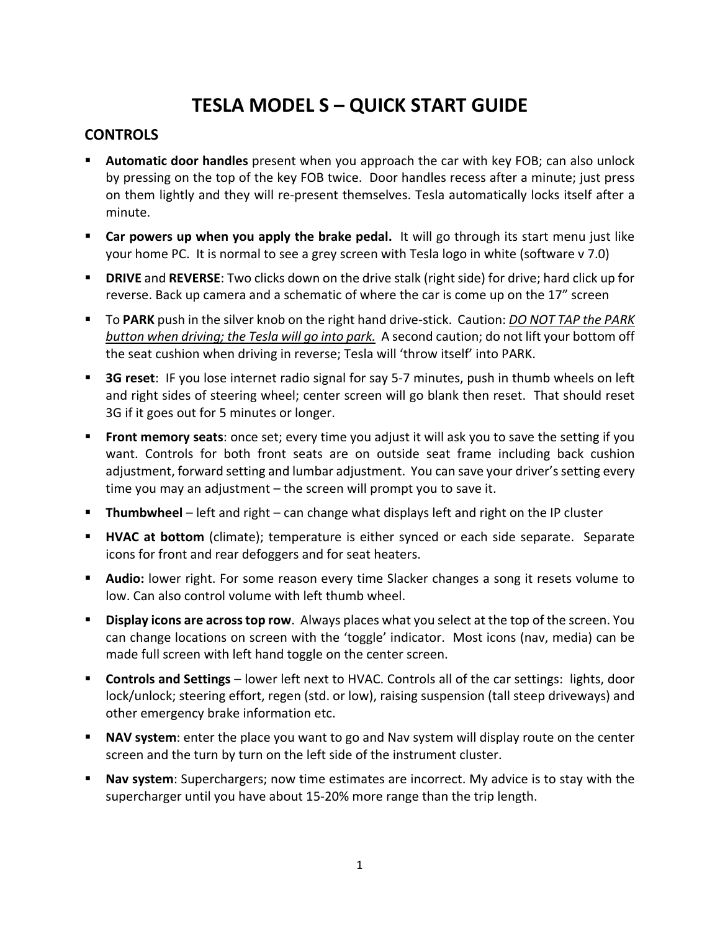## **TESLA MODEL S – QUICK START GUIDE**

## **CONTROLS**

- **Automatic door handles** present when you approach the car with key FOB; can also unlock by pressing on the top of the key FOB twice. Door handles recess after a minute; just press on them lightly and they will re-present themselves. Tesla automatically locks itself after a minute.
- **Car powers up when you apply the brake pedal.** It will go through its start menu just like your home PC. It is normal to see a grey screen with Tesla logo in white (software v 7.0)
- **DRIVE** and **REVERSE**: Two clicks down on the drive stalk (right side) for drive; hard click up for reverse. Back up camera and a schematic of where the car is come up on the 17" screen
- To **PARK** push in the silver knob on the right hand drive-stick. Caution: *DO NOT TAP the PARK button when driving; the Tesla will go into park.* A second caution; do not lift your bottom off the seat cushion when driving in reverse; Tesla will 'throw itself' into PARK.
- **3G reset**: IF you lose internet radio signal for say 5-7 minutes, push in thumb wheels on left and right sides of steering wheel; center screen will go blank then reset. That should reset 3G if it goes out for 5 minutes or longer.
- **Front memory seats**: once set; every time you adjust it will ask you to save the setting if you want. Controls for both front seats are on outside seat frame including back cushion adjustment, forward setting and lumbar adjustment. You can save your driver's setting every time you may an adjustment – the screen will prompt you to save it.
- **Thumbwheel** left and right can change what displays left and right on the IP cluster
- **HVAC at bottom** (climate); temperature is either synced or each side separate. Separate icons for front and rear defoggers and for seat heaters.
- **Audio:** lower right. For some reason every time Slacker changes a song it resets volume to low. Can also control volume with left thumb wheel.
- **Display icons are across top row**. Always places what you select at the top of the screen. You can change locations on screen with the 'toggle' indicator. Most icons (nav, media) can be made full screen with left hand toggle on the center screen.
- **Controls and Settings** lower left next to HVAC. Controls all of the car settings: lights, door lock/unlock; steering effort, regen (std. or low), raising suspension (tall steep driveways) and other emergency brake information etc.
- **NAV system:** enter the place you want to go and Nav system will display route on the center screen and the turn by turn on the left side of the instrument cluster.
- **Nav system**: Superchargers; now time estimates are incorrect. My advice is to stay with the supercharger until you have about 15-20% more range than the trip length.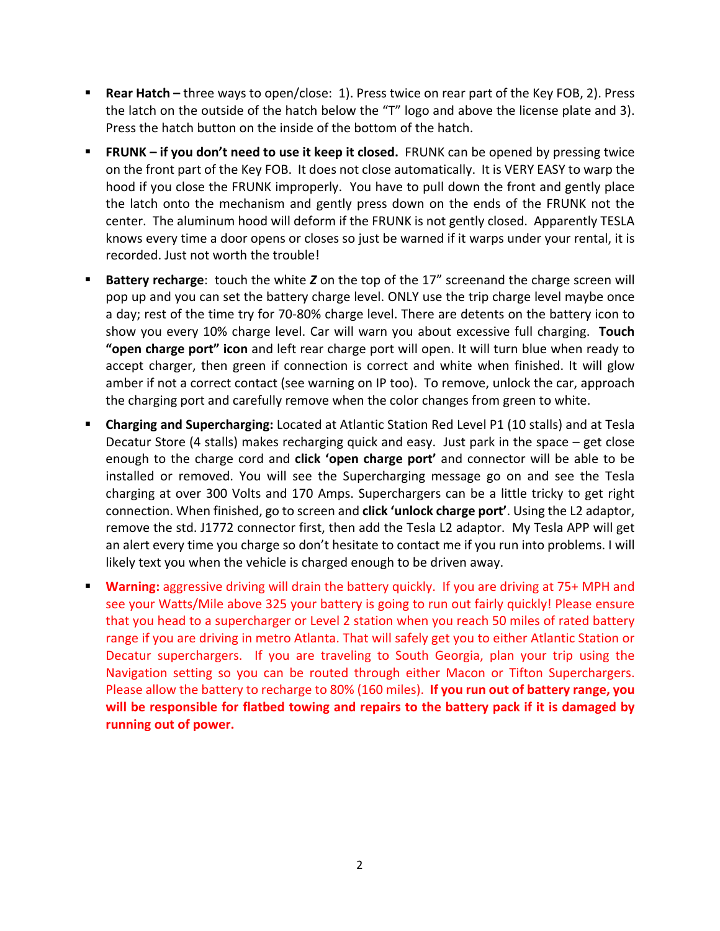- **Rear Hatch –** three ways to open/close: 1). Press twice on rear part of the Key FOB, 2). Press the latch on the outside of the hatch below the "T" logo and above the license plate and 3). Press the hatch button on the inside of the bottom of the hatch.
- **FRUNK if you don't need to use it keep it closed.** FRUNK can be opened by pressing twice on the front part of the Key FOB. It does not close automatically. It is VERY EASY to warp the hood if you close the FRUNK improperly. You have to pull down the front and gently place the latch onto the mechanism and gently press down on the ends of the FRUNK not the center. The aluminum hood will deform if the FRUNK is not gently closed. Apparently TESLA knows every time a door opens or closes so just be warned if it warps under your rental, it is recorded. Just not worth the trouble!
- **Battery recharge**: touch the white *Z* on the top of the 17" screenand the charge screen will pop up and you can set the battery charge level. ONLY use the trip charge level maybe once a day; rest of the time try for 70-80% charge level. There are detents on the battery icon to show you every 10% charge level. Car will warn you about excessive full charging. **Touch "open charge port" icon** and left rear charge port will open. It will turn blue when ready to accept charger, then green if connection is correct and white when finished. It will glow amber if not a correct contact (see warning on IP too). To remove, unlock the car, approach the charging port and carefully remove when the color changes from green to white.
- **Charging and Supercharging:** Located at Atlantic Station Red Level P1 (10 stalls) and at Tesla Decatur Store (4 stalls) makes recharging quick and easy. Just park in the space – get close enough to the charge cord and **click 'open charge port'** and connector will be able to be installed or removed. You will see the Supercharging message go on and see the Tesla charging at over 300 Volts and 170 Amps. Superchargers can be a little tricky to get right connection. When finished, go to screen and **click 'unlock charge port'**. Using the L2 adaptor, remove the std. J1772 connector first, then add the Tesla L2 adaptor. My Tesla APP will get an alert every time you charge so don't hesitate to contact me if you run into problems. I will likely text you when the vehicle is charged enough to be driven away.
- **Warning:** aggressive driving will drain the battery quickly. If you are driving at 75+ MPH and see your Watts/Mile above 325 your battery is going to run out fairly quickly! Please ensure that you head to a supercharger or Level 2 station when you reach 50 miles of rated battery range if you are driving in metro Atlanta. That will safely get you to either Atlantic Station or Decatur superchargers. If you are traveling to South Georgia, plan your trip using the Navigation setting so you can be routed through either Macon or Tifton Superchargers. Please allow the battery to recharge to 80% (160 miles). **If you run out of battery range, you will be responsible for flatbed towing and repairs to the battery pack if it is damaged by running out of power.**